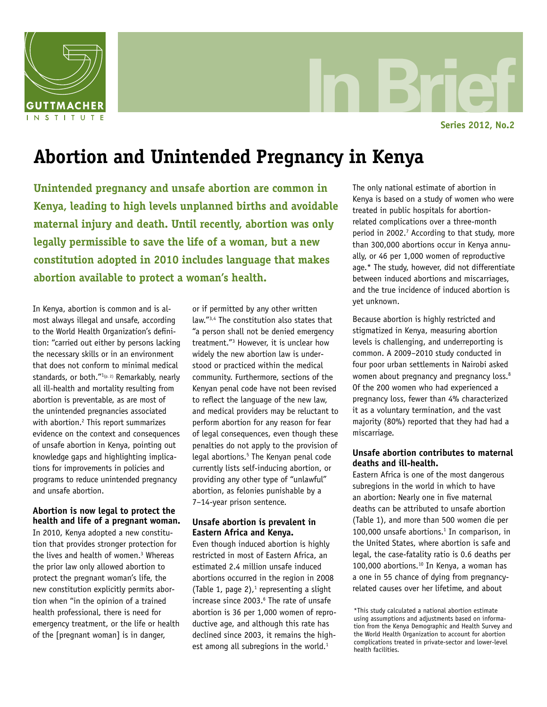

In Brief **Series 2012, No.2**

# **Abortion and Unintended Pregnancy in Kenya**

**Unintended pregnancy and unsafe abortion are common in Kenya, leading to high levels unplanned births and avoidable maternal injury and death. Until recently, abortion was only legally permissible to save the life of a woman, but a new constitution adopted in 2010 includes language that makes abortion available to protect a woman's health.**

In Kenya, abortion is common and is almost always illegal and unsafe, according to the World Health Organization's definition: "carried out either by persons lacking the necessary skills or in an environment that does not conform to minimal medical standards, or both."<sup>1(p. 2)</sup> Remarkably, nearly all ill-health and mortality resulting from abortion is preventable, as are most of the unintended pregnancies associated with abortion.<sup>2</sup> This report summarizes evidence on the context and consequences of unsafe abortion in Kenya, pointing out knowledge gaps and highlighting implications for improvements in policies and programs to reduce unintended pregnancy and unsafe abortion.

# **Abortion is now legal to protect the health and life of a pregnant woman.**

In 2010, Kenya adopted a new constitution that provides stronger protection for the lives and health of women.<sup>3</sup> Whereas the prior law only allowed abortion to protect the pregnant woman's life, the new constitution explicitly permits abortion when "in the opinion of a trained health professional, there is need for emergency treatment, or the life or health of the [pregnant woman] is in danger,

or if permitted by any other written law."3,4 The constitution also states that "a person shall not be denied emergency treatment."3 However, it is unclear how widely the new abortion law is understood or practiced within the medical community. Furthermore, sections of the Kenyan penal code have not been revised to reflect the language of the new law, and medical providers may be reluctant to perform abortion for any reason for fear of legal consequences, even though these penalties do not apply to the provision of legal abortions.<sup>5</sup> The Kenyan penal code currently lists self-inducing abortion, or providing any other type of "unlawful" abortion, as felonies punishable by a 7–14-year prison sentence.

# **Unsafe abortion is prevalent in Eastern Africa and Kenya.**

Even though induced abortion is highly restricted in most of Eastern Africa, an estimated 2.4 million unsafe induced abortions occurred in the region in 2008 (Table 1, page 2), $1$  representing a slight increase since 2003.<sup>6</sup> The rate of unsafe abortion is 36 per 1,000 women of reproductive age, and although this rate has declined since 2003, it remains the highest among all subregions in the world. $1$ 

The only national estimate of abortion in Kenya is based on a study of women who were treated in public hospitals for abortionrelated complications over a three-month period in 2002.<sup>7</sup> According to that study, more than 300,000 abortions occur in Kenya annually, or 46 per 1,000 women of reproductive age.\* The study, however, did not differentiate between induced abortions and miscarriages, and the true incidence of induced abortion is yet unknown.

Because abortion is highly restricted and stigmatized in Kenya, measuring abortion levels is challenging, and underreporting is common. A 2009–2010 study conducted in four poor urban settlements in Nairobi asked women about pregnancy and pregnancy loss.<sup>8</sup> Of the 200 women who had experienced a pregnancy loss, fewer than 4% characterized it as a voluntary termination, and the vast majority (80%) reported that they had had a miscarriage.

# **Unsafe abortion contributes to maternal deaths and ill-health.**

Eastern Africa is one of the most dangerous subregions in the world in which to have an abortion: Nearly one in five maternal deaths can be attributed to unsafe abortion (Table 1), and more than 500 women die per 100,000 unsafe abortions.<sup>1</sup> In comparison, in the United States, where abortion is safe and legal, the case-fatality ratio is 0.6 deaths per 100,000 abortions.<sup>10</sup> In Kenya, a woman has a one in 55 chance of dying from pregnancyrelated causes over her lifetime, and about

<sup>\*</sup>This study calculated a national abortion estimate using assumptions and adjustments based on information from the Kenya Demographic and Health Survey and the World Health Organization to account for abortion complications treated in private-sector and lower-level health facilities.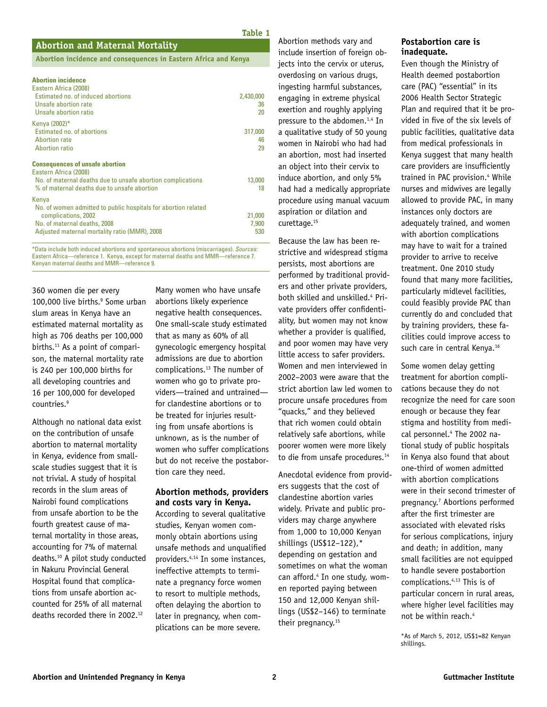#### **Abortion and Maternal Mortality**

**Abortion incidence and consequences in Eastern Africa and Kenya**

#### **Abortion incidence**

| Eastern Africa (2008)<br>Estimated no. of induced abortions<br>Unsafe abortion rate<br>Unsafe abortion ratio                                                                    | 2,430,000<br>36<br>20  |
|---------------------------------------------------------------------------------------------------------------------------------------------------------------------------------|------------------------|
| Kenya (2002)*<br>Estimated no. of abortions<br><b>Abortion rate</b><br><b>Abortion ratio</b>                                                                                    | 317,000<br>46<br>29    |
| <b>Consequences of unsafe abortion</b><br>Eastern Africa (2008)<br>No. of maternal deaths due to unsafe abortion complications<br>% of maternal deaths due to unsafe abortion   | 13,000<br>18           |
| Kenya<br>No. of women admitted to public hospitals for abortion related<br>complications, 2002<br>No. of maternal deaths, 2008<br>Adjusted maternal mortality ratio (MMR), 2008 | 21,000<br>7,900<br>530 |

\*Data include both induced abortions and spontaneous abortions (miscarriages). *Sources:* Eastern Africa—reference 1. Kenya, except for maternal deaths and MMR—reference 7. Kenyan maternal deaths and MMR—reference 9.

360 women die per every 100,000 live births.<sup>9</sup> Some urban slum areas in Kenya have an estimated maternal mortality as high as 706 deaths per 100,000 births. $11$  As a point of comparison, the maternal mortality rate is 240 per 100,000 births for all developing countries and 16 per 100,000 for developed countries.9

Although no national data exist on the contribution of unsafe abortion to maternal mortality in Kenya, evidence from smallscale studies suggest that it is not trivial. A study of hospital records in the slum areas of Nairobi found complications from unsafe abortion to be the fourth greatest cause of maternal mortality in those areas, accounting for 7% of maternal deaths.10 A pilot study conducted in Nakuru Provincial General Hospital found that complications from unsafe abortion accounted for 25% of all maternal deaths recorded there in 2002.12

Many women who have unsafe abortions likely experience negative health consequences. One small-scale study estimated that as many as 60% of all gynecologic emergency hospital admissions are due to abortion complications.13 The number of women who go to private providers—trained and untrained for clandestine abortions or to be treated for injuries resulting from unsafe abortions is unknown, as is the number of women who suffer complications but do not receive the postabortion care they need.

## **Abortion methods, providers and costs vary in Kenya.**

According to several qualitative studies, Kenyan women commonly obtain abortions using unsafe methods and unqualified providers.4,14 In some instances, ineffective attempts to terminate a pregnancy force women to resort to multiple methods, often delaying the abortion to later in pregnancy, when complications can be more severe.

Abortion methods vary and include insertion of foreign objects into the cervix or uterus, overdosing on various drugs, ingesting harmful substances, engaging in extreme physical exertion and roughly applying pressure to the abdomen.1,4 In a qualitative study of 50 young women in Nairobi who had had an abortion, most had inserted an object into their cervix to induce abortion, and only 5% had had a medically appropriate procedure using manual vacuum aspiration or dilation and curettage.15

**Table 1**

Because the law has been restrictive and widespread stigma persists, most abortions are performed by traditional providers and other private providers, both skilled and unskilled.4 Private providers offer confidentiality, but women may not know whether a provider is qualified, and poor women may have very little access to safer providers. Women and men interviewed in 2002–2003 were aware that the strict abortion law led women to procure unsafe procedures from "quacks," and they believed that rich women could obtain relatively safe abortions, while poorer women were more likely to die from unsafe procedures.<sup>14</sup>

Anecdotal evidence from providers suggests that the cost of clandestine abortion varies widely. Private and public providers may charge anywhere from 1,000 to 10,000 Kenyan shillings (US\$12–122),\* depending on gestation and sometimes on what the woman can afford.<sup>4</sup> In one study, women reported paying between 150 and 12,000 Kenyan shillings (US\$2–146) to terminate their pregnancy.<sup>15</sup>

#### **Postabortion care is inadequate.**

Even though the Ministry of Health deemed postabortion care (PAC) "essential" in its 2006 Health Sector Strategic Plan and required that it be provided in five of the six levels of public facilities, qualitative data from medical professionals in Kenya suggest that many health care providers are insufficiently trained in PAC provision.<sup>4</sup> While nurses and midwives are legally allowed to provide PAC, in many instances only doctors are adequately trained, and women with abortion complications may have to wait for a trained provider to arrive to receive treatment. One 2010 study found that many more facilities, particularly midlevel facilities, could feasibly provide PAC than currently do and concluded that by training providers, these facilities could improve access to such care in central Kenya.<sup>16</sup>

Some women delay getting treatment for abortion complications because they do not recognize the need for care soon enough or because they fear stigma and hostility from medical personnel.4 The 2002 national study of public hospitals in Kenya also found that about one-third of women admitted with abortion complications were in their second trimester of pregnancy.7 Abortions performed after the first trimester are associated with elevated risks for serious complications, injury and death; in addition, many small facilities are not equipped to handle severe postabortion complications.4,13 This is of particular concern in rural areas, where higher level facilities may not be within reach.4

\*As of March 5, 2012, US\$1=82 Kenyan shillings.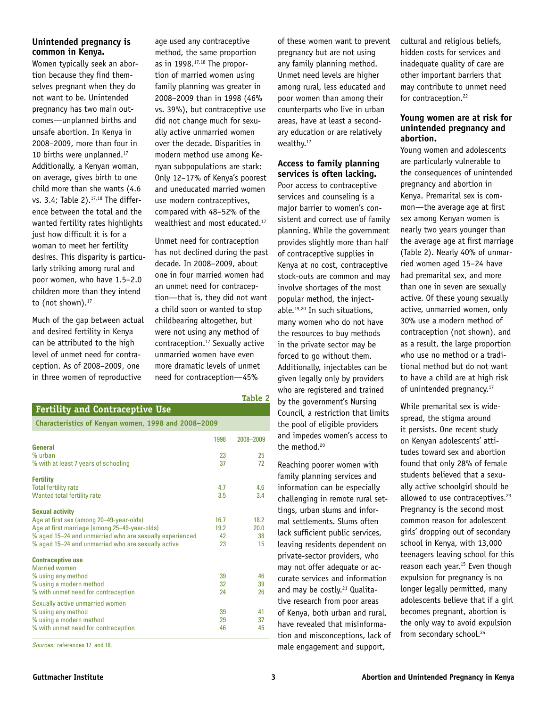## **Unintended pregnancy is common in Kenya.**

Women typically seek an abortion because they find themselves pregnant when they do not want to be. Unintended pregnancy has two main outcomes—unplanned births and unsafe abortion. In Kenya in 2008–2009, more than four in 10 births were unplanned.<sup>17</sup> Additionally, a Kenyan woman, on average, gives birth to one child more than she wants (4.6 vs. 3.4; Table 2). $17,18$  The difference between the total and the wanted fertility rates highlights just how difficult it is for a woman to meet her fertility desires. This disparity is particularly striking among rural and poor women, who have 1.5–2.0 children more than they intend to (not shown). $17$ 

Much of the gap between actual and desired fertility in Kenya can be attributed to the high level of unmet need for contraception. As of 2008–2009, one in three women of reproductive

age used any contraceptive method, the same proportion as in  $1998$ .<sup>17,18</sup> The proportion of married women using family planning was greater in 2008–2009 than in 1998 (46% vs. 39%), but contraceptive use did not change much for sexually active unmarried women over the decade. Disparities in modern method use among Kenyan subpopulations are stark: Only 12–17% of Kenya's poorest and uneducated married women use modern contraceptives, compared with 48–52% of the wealthiest and most educated.<sup>17</sup>

Unmet need for contraception has not declined during the past decade. In 2008–2009, about one in four married women had an unmet need for contraception—that is, they did not want a child soon or wanted to stop childbearing altogether, but were not using any method of contraception.17 Sexually active unmarried women have even more dramatic levels of unmet need for contraception—45%

**Table 2**

## **Fertility and Contraceptive Use**

**Characteristics of Kenyan women, 1998 and 2008–2009** 

|                                                                                                                                                                                                                                      | 1998                     | 2008-2009                |
|--------------------------------------------------------------------------------------------------------------------------------------------------------------------------------------------------------------------------------------|--------------------------|--------------------------|
| General<br>% urban<br>% with at least 7 years of schooling                                                                                                                                                                           | 23<br>37                 | 25<br>72                 |
| <b>Fertility</b><br><b>Total fertility rate</b><br>Wanted total fertility rate                                                                                                                                                       | 4.7<br>3.5               | 4.6<br>3.4               |
| <b>Sexual activity</b><br>Age at first sex (among 20–49-year-olds)<br>Age at first marriage (among 25-49-year-olds)<br>% aged 15-24 and unmarried who are sexually experienced<br>% aged 15-24 and unmarried who are sexually active | 16.7<br>19.2<br>42<br>23 | 18.2<br>20.0<br>38<br>15 |
| <b>Contraceptive use</b><br><b>Married women</b><br>% using any method<br>% using a modern method<br>% with unmet need for contraception                                                                                             | 39<br>32<br>24           | 46<br>39<br>26           |
| Sexually active unmarried women<br>% using any method<br>% using a modern method<br>% with unmet need for contraception                                                                                                              | 39<br>29<br>46           | 41<br>37<br>45           |
| Sources: references 17 and 18.                                                                                                                                                                                                       |                          |                          |

of these women want to prevent pregnancy but are not using any family planning method. Unmet need levels are higher among rural, less educated and poor women than among their counterparts who live in urban areas, have at least a secondary education or are relatively wealthy.<sup>17</sup>

#### **Access to family planning services is often lacking.**

Poor access to contraceptive services and counseling is a major barrier to women's consistent and correct use of family planning. While the government provides slightly more than half of contraceptive supplies in Kenya at no cost, contraceptive stock-outs are common and may involve shortages of the most popular method, the injectable.19,20 In such situations, many women who do not have the resources to buy methods in the private sector may be forced to go without them. Additionally, injectables can be given legally only by providers who are registered and trained by the government's Nursing Council, a restriction that limits the pool of eligible providers and impedes women's access to the method.<sup>20</sup>

Reaching poorer women with family planning services and information can be especially challenging in remote rural settings, urban slums and informal settlements. Slums often lack sufficient public services, leaving residents dependent on private-sector providers, who may not offer adequate or accurate services and information and may be costly.<sup>21</sup> Qualitative research from poor areas of Kenya, both urban and rural, have revealed that misinformation and misconceptions, lack of male engagement and support,

cultural and religious beliefs, hidden costs for services and inadequate quality of care are other important barriers that may contribute to unmet need for contraception.<sup>22</sup>

## **Young women are at risk for unintended pregnancy and abortion.**

Young women and adolescents are particularly vulnerable to the consequences of unintended pregnancy and abortion in Kenya. Premarital sex is common—the average age at first sex among Kenyan women is nearly two years younger than the average age at first marriage (Table 2). Nearly 40% of unmarried women aged 15–24 have had premarital sex, and more than one in seven are sexually active. Of these young sexually active, unmarried women, only 30% use a modern method of contraception (not shown), and as a result, the large proportion who use no method or a traditional method but do not want to have a child are at high risk of unintended pregnancy.<sup>17</sup>

While premarital sex is widespread, the stigma around it persists. One recent study on Kenyan adolescents' attitudes toward sex and abortion found that only 28% of female students believed that a sexually active schoolgirl should be allowed to use contraceptives.<sup>23</sup> Pregnancy is the second most common reason for adolescent girls' dropping out of secondary school in Kenya, with 13,000 teenagers leaving school for this reason each year.<sup>15</sup> Even though expulsion for pregnancy is no longer legally permitted, many adolescents believe that if a girl becomes pregnant, abortion is the only way to avoid expulsion from secondary school.<sup>24</sup>